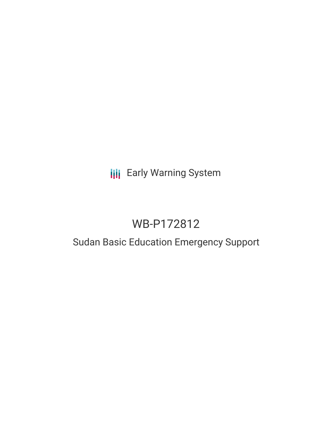## **III** Early Warning System

# WB-P172812

### Sudan Basic Education Emergency Support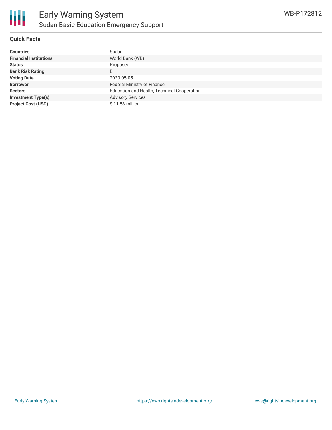

#### **Quick Facts**

| <b>Countries</b>              | Sudan                                       |
|-------------------------------|---------------------------------------------|
| <b>Financial Institutions</b> | World Bank (WB)                             |
| <b>Status</b>                 | Proposed                                    |
| <b>Bank Risk Rating</b>       | B                                           |
| <b>Voting Date</b>            | 2020-05-05                                  |
| <b>Borrower</b>               | Federal Ministry of Finance                 |
| <b>Sectors</b>                | Education and Health, Technical Cooperation |
| <b>Investment Type(s)</b>     | <b>Advisory Services</b>                    |
| <b>Project Cost (USD)</b>     | \$11.58 million                             |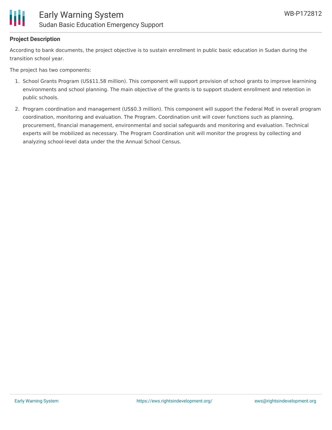

#### **Project Description**

According to bank documents, the project objective is to sustain enrollment in public basic education in Sudan during the transition school year.

The project has two components:

- 1. School Grants Program (US\$11.58 million). This component will support provision of school grants to improve learnining environments and school planning. The main objective of the grants is to support student enrollment and retention in public schools.
- 2. Program coordination and management (US\$0.3 million). This component will support the Federal MoE in overall program coordination, monitoring and evaluation. The Program. Coordination unit will cover functions such as planning, procurement, financial management, environmental and social safeguards and monitoring and evaluation. Technical experts will be mobilized as necessary. The Program Coordination unit will monitor the progress by collecting and analyzing school-level data under the the Annual School Census.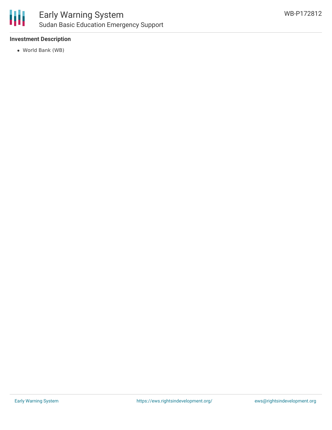

### Early Warning System Sudan Basic Education Emergency Support

#### **Investment Description**

World Bank (WB)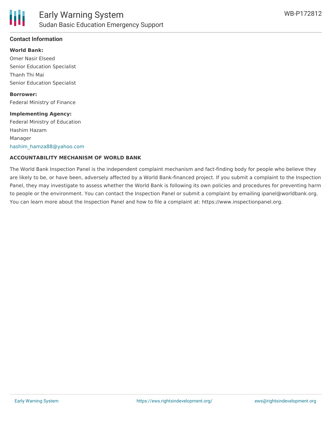

#### **Contact Information**

**World Bank:** Omer Nasir Elseed Senior Education Specialist Thanh Thi Mai Senior Education Specialist

**Borrower:** Federal Ministry of Finance

#### **Implementing Agency:**

Federal Ministry of Education Hashim Hazam Manager [hashim\\_hamza88@yahoo.com](mailto:hashim_hamza88@yahoo.com)

#### **ACCOUNTABILITY MECHANISM OF WORLD BANK**

The World Bank Inspection Panel is the independent complaint mechanism and fact-finding body for people who believe they are likely to be, or have been, adversely affected by a World Bank-financed project. If you submit a complaint to the Inspection Panel, they may investigate to assess whether the World Bank is following its own policies and procedures for preventing harm to people or the environment. You can contact the Inspection Panel or submit a complaint by emailing ipanel@worldbank.org. You can learn more about the Inspection Panel and how to file a complaint at: https://www.inspectionpanel.org.